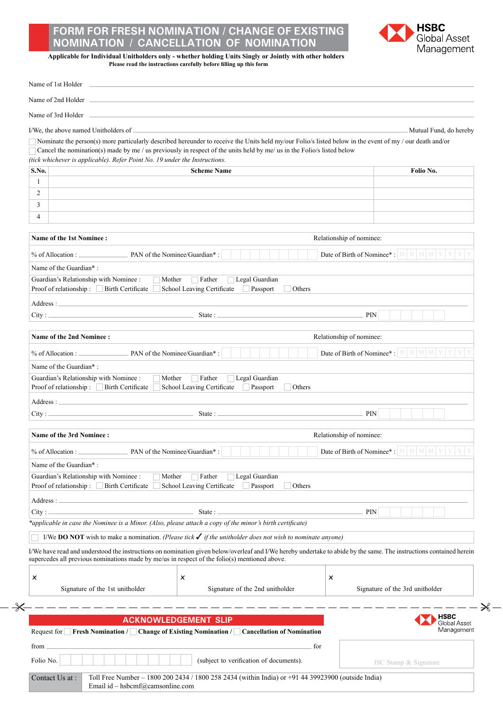## **Form for Fresh Nomination / Change of Existing NOMINATION / CANCELLATION OF NOMINATIO**



**Applicable for Individual Unitholders only - whether holding Units Singly or Jointly with other holders Please read the instructions carefully before filling up this form**

|                                                             | Name of 3rd Holder _                                                                                                                                                                                                                                                 |                                                                                       |
|-------------------------------------------------------------|----------------------------------------------------------------------------------------------------------------------------------------------------------------------------------------------------------------------------------------------------------------------|---------------------------------------------------------------------------------------|
|                                                             | I/We, the above named Unitholders of                                                                                                                                                                                                                                 | Mutual Fund, do hereby                                                                |
|                                                             | Nominate the person(s) more particularly described hereunder to receive the Units held my/our Folio/s listed below in the event of my / our death and/or                                                                                                             |                                                                                       |
|                                                             | Cancel the nomination(s) made by me / us previously in respect of the units held by me/ us in the Folio/s listed below                                                                                                                                               |                                                                                       |
| S.No.                                                       | (tick whichever is applicable). Refer Point No. 19 under the Instructions.<br><b>Scheme Name</b>                                                                                                                                                                     | Folio No.                                                                             |
| 1                                                           |                                                                                                                                                                                                                                                                      |                                                                                       |
| $\overline{2}$                                              |                                                                                                                                                                                                                                                                      |                                                                                       |
| 3                                                           |                                                                                                                                                                                                                                                                      |                                                                                       |
| 4                                                           |                                                                                                                                                                                                                                                                      |                                                                                       |
|                                                             | Name of the 1st Nominee:<br>Relationship of nominee:                                                                                                                                                                                                                 |                                                                                       |
|                                                             |                                                                                                                                                                                                                                                                      | Date of Birth of Nominee*: $\boxed{D \mid D \mid M \mid Y \mid Y \mid Y}$             |
|                                                             | Name of the Guardian*:                                                                                                                                                                                                                                               |                                                                                       |
|                                                             | Guardian's Relationship with Nominee :<br>$\Box$ Father<br>Legal Guardian<br>Mother                                                                                                                                                                                  |                                                                                       |
|                                                             | Proof of relationship: Birth Certificate<br>School Leaving Certificate<br>Passport<br>Others                                                                                                                                                                         |                                                                                       |
|                                                             | Address:                                                                                                                                                                                                                                                             |                                                                                       |
|                                                             | PIN                                                                                                                                                                                                                                                                  |                                                                                       |
| Relationship of nominee:<br><b>Name of the 2nd Nominee:</b> |                                                                                                                                                                                                                                                                      |                                                                                       |
|                                                             |                                                                                                                                                                                                                                                                      | Date of Birth of Nominee*: $\left  D \right  D \left  M \right  M \left  Y \right  Y$ |
|                                                             | Name of the Guardian*:                                                                                                                                                                                                                                               |                                                                                       |
|                                                             | Guardian's Relationship with Nominee :<br>Father<br>Legal Guardian<br>Mother<br>$\Gamma$<br>Proof of relationship: Birth Certificate School Leaving Certificate<br>Passport<br>Others                                                                                |                                                                                       |
|                                                             |                                                                                                                                                                                                                                                                      |                                                                                       |
|                                                             |                                                                                                                                                                                                                                                                      |                                                                                       |
|                                                             |                                                                                                                                                                                                                                                                      |                                                                                       |
|                                                             | <b>Name of the 3rd Nominee:</b><br>Relationship of nominee:                                                                                                                                                                                                          |                                                                                       |
|                                                             |                                                                                                                                                                                                                                                                      |                                                                                       |
|                                                             | PAN of the Nominee/Guardian*:<br>% of Allocation :                                                                                                                                                                                                                   | <b>Date of Birth of Nominee*</b> : $\boxed{D \mid D \mid M \mid M \mid Y}$            |
|                                                             | Name of the Guardian*:                                                                                                                                                                                                                                               |                                                                                       |
|                                                             | Guardian's Relationship with Nominee :<br>Legal Guardian<br>Mother<br>Father<br>School Leaving Certificate<br>Proof of relationship: Birth Certificate<br>Passport<br>Others                                                                                         |                                                                                       |
|                                                             |                                                                                                                                                                                                                                                                      |                                                                                       |
|                                                             | State : $-$<br>PIN                                                                                                                                                                                                                                                   |                                                                                       |
|                                                             | *applicable in case the Nominee is a Minor. (Also, please attach a copy of the minor's birth certificate)                                                                                                                                                            |                                                                                       |
|                                                             | I/We <b>DO NOT</b> wish to make a nomination. (Please tick $\checkmark$ if the unitholder does not wish to nominate anyone)                                                                                                                                          |                                                                                       |
|                                                             | I/We have read and understood the instructions on nomination given below/overleaf and I/We hereby undertake to abide by the same. The instructions contained herein<br>supercedes all previous nominations made by me/us in respect of the folio(s) mentioned above. |                                                                                       |
|                                                             | X<br>x                                                                                                                                                                                                                                                               |                                                                                       |
|                                                             | Signature of the 1st unitholder<br>Signature of the 2nd unitholder                                                                                                                                                                                                   | Signature of the 3rd unitholder                                                       |
|                                                             |                                                                                                                                                                                                                                                                      |                                                                                       |
|                                                             | <b>ACKNOWLEDGEMENT SLIP</b>                                                                                                                                                                                                                                          | <b>HSBC</b>                                                                           |
|                                                             | Request for Fresh Nomination / Change of Existing Nomination / Cancellation of Nomination                                                                                                                                                                            | <b>Global Asset</b><br>Management                                                     |
| Address:<br>City:<br>×<br>from<br>Folio No.                 | for<br>(subject to verification of documents).                                                                                                                                                                                                                       | ISC Stamp & Signature                                                                 |